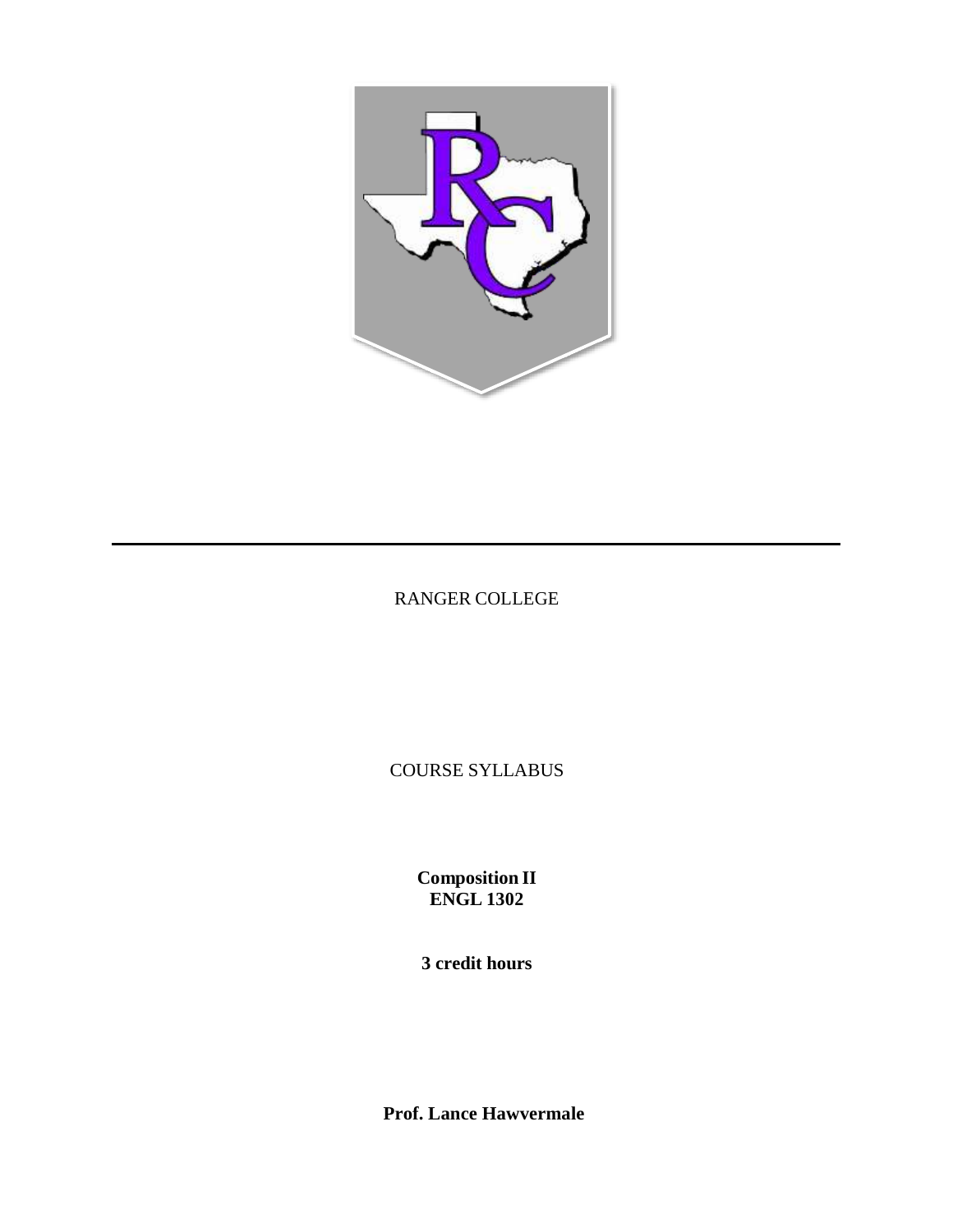

# RANGER COLLEGE

COURSE SYLLABUS

**Composition II ENGL 1302**

**3 credit hours**

**Prof. Lance Hawvermale**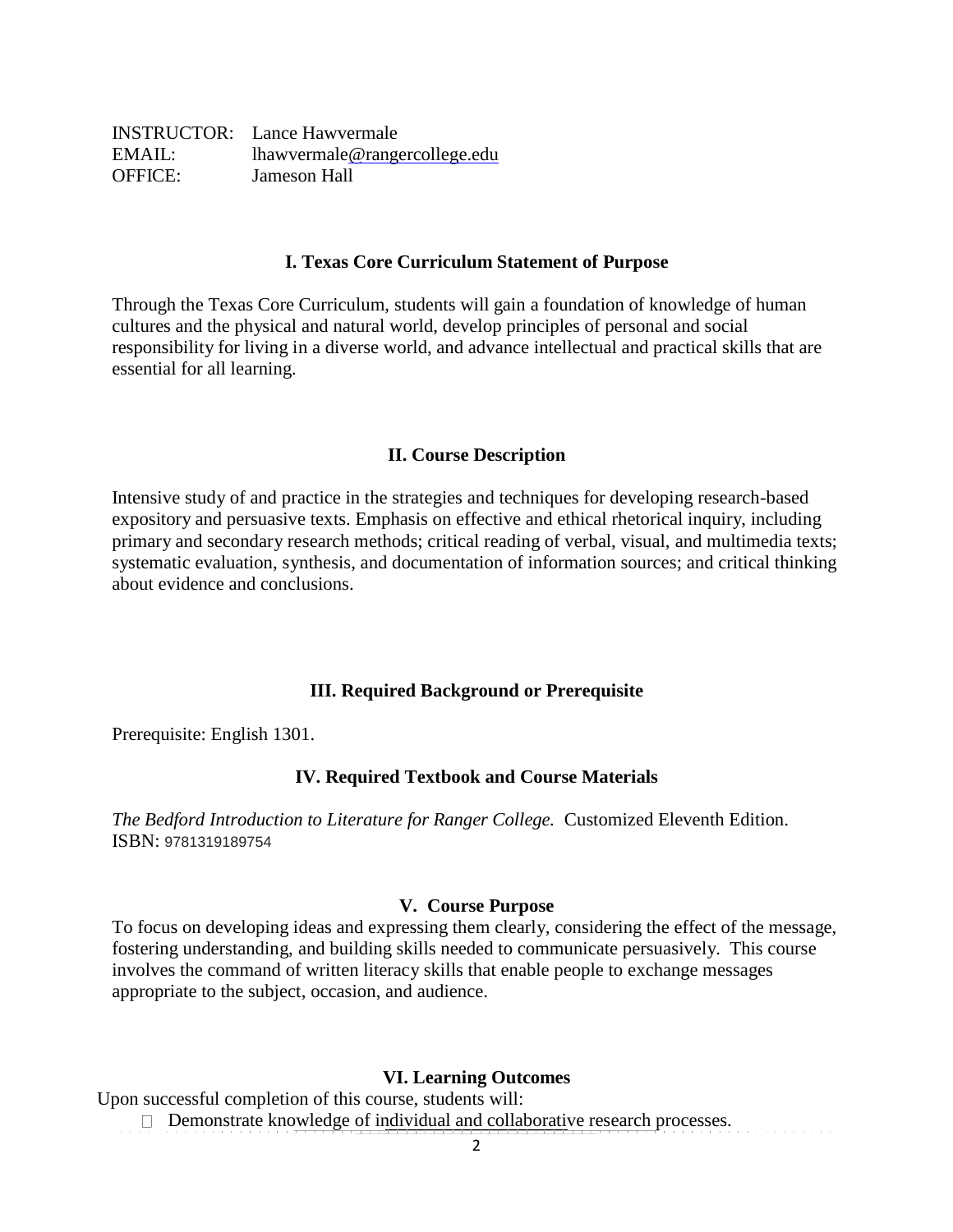|                | <b>INSTRUCTOR:</b> Lance Hawvermale |
|----------------|-------------------------------------|
| EMAIL:         | lhawvermale@rangercollege.edu       |
| <b>OFFICE:</b> | Jameson Hall                        |

#### **I. Texas Core Curriculum Statement of Purpose**

Through the Texas Core Curriculum, students will gain a foundation of knowledge of human cultures and the physical and natural world, develop principles of personal and social responsibility for living in a diverse world, and advance intellectual and practical skills that are essential for all learning.

### **II. Course Description**

Intensive study of and practice in the strategies and techniques for developing research-based expository and persuasive texts. Emphasis on effective and ethical rhetorical inquiry, including primary and secondary research methods; critical reading of verbal, visual, and multimedia texts; systematic evaluation, synthesis, and documentation of information sources; and critical thinking about evidence and conclusions.

### **III. Required Background or Prerequisite**

Prerequisite: English 1301.

### **IV. Required Textbook and Course Materials**

*The Bedford Introduction to Literature for Ranger College.* Customized Eleventh Edition. ISBN: 9781319189754

### **V. Course Purpose**

To focus on developing ideas and expressing them clearly, considering the effect of the message, fostering understanding, and building skills needed to communicate persuasively. This course involves the command of written literacy skills that enable people to exchange messages appropriate to the subject, occasion, and audience.

### **VI. Learning Outcomes**

Upon successful completion of this course, students will:

Demonstrate knowledge of individual and collaborative research processes.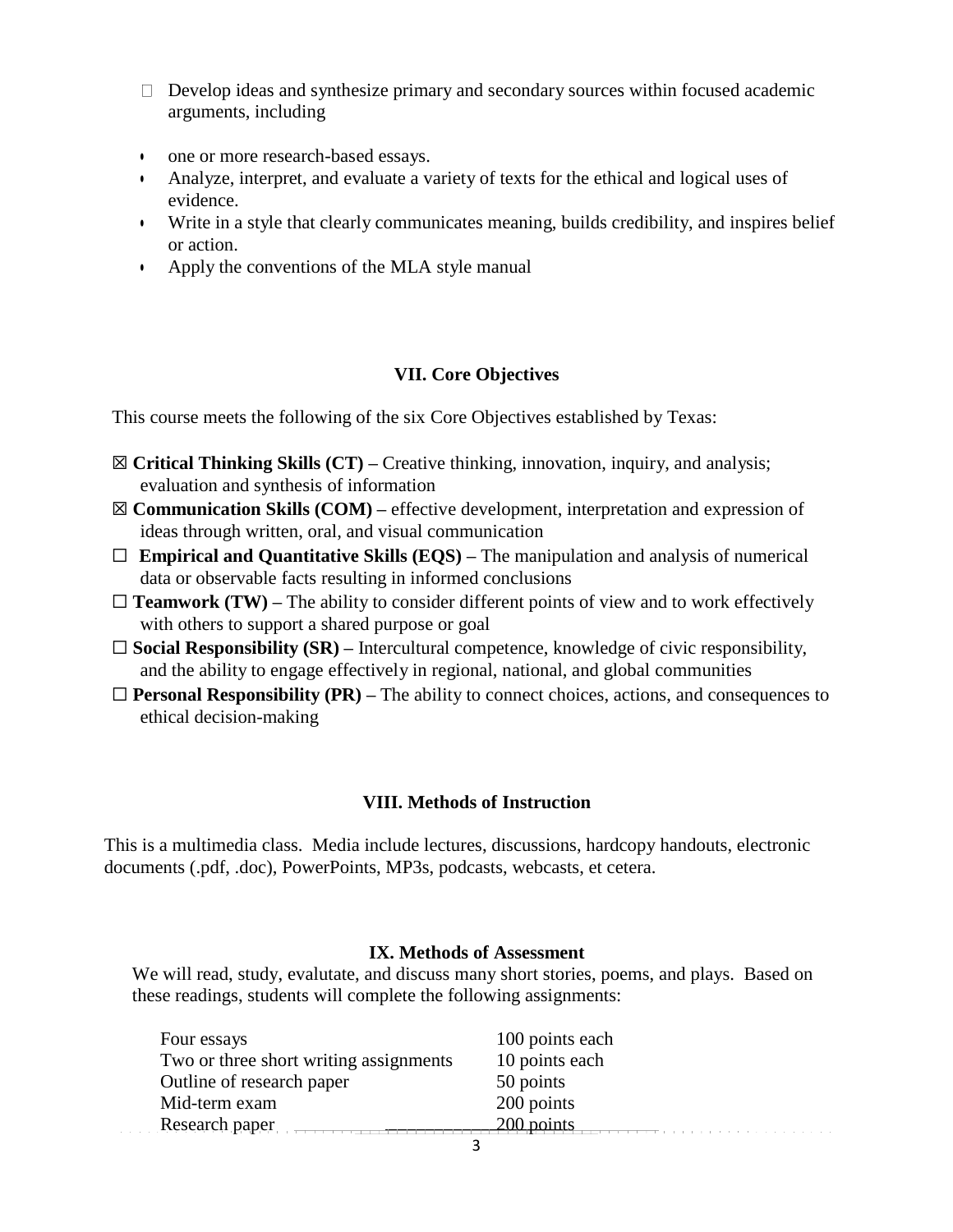- $\Box$  Develop ideas and synthesize primary and secondary sources within focused academic arguments, including
- one or more research-based essays.
- Analyze, interpret, and evaluate a variety of texts for the ethical and logical uses of evidence.
- Write in a style that clearly communicates meaning, builds credibility, and inspires belief or action.
- Apply the conventions of the MLA style manual

## **VII. Core Objectives**

This course meets the following of the six Core Objectives established by Texas:

- ☒ **Critical Thinking Skills (CT) –** Creative thinking, innovation, inquiry, and analysis; evaluation and synthesis of information
- ☒ **Communication Skills (COM) –** effective development, interpretation and expression of ideas through written, oral, and visual communication
- ☐ **Empirical and Quantitative Skills (EQS) –** The manipulation and analysis of numerical data or observable facts resulting in informed conclusions
- $\Box$  **Teamwork** (**TW**) The ability to consider different points of view and to work effectively with others to support a shared purpose or goal
- ☐ **Social Responsibility (SR) –** Intercultural competence, knowledge of civic responsibility, and the ability to engage effectively in regional, national, and global communities
- $\Box$  **Personal Responsibility** (PR) The ability to connect choices, actions, and consequences to ethical decision-making

## **VIII. Methods of Instruction**

This is a multimedia class. Media include lectures, discussions, hardcopy handouts, electronic documents (.pdf, .doc), PowerPoints, MP3s, podcasts, webcasts, et cetera.

## **IX. Methods of Assessment**

We will read, study, evalutate, and discuss many short stories, poems, and plays. Based on these readings, students will complete the following assignments:

| Four essays                            | 100 points each |
|----------------------------------------|-----------------|
| Two or three short writing assignments | 10 points each  |
| Outline of research paper              | 50 points       |
| Mid-term exam                          | 200 points      |
| Research paper                         | 200 points      |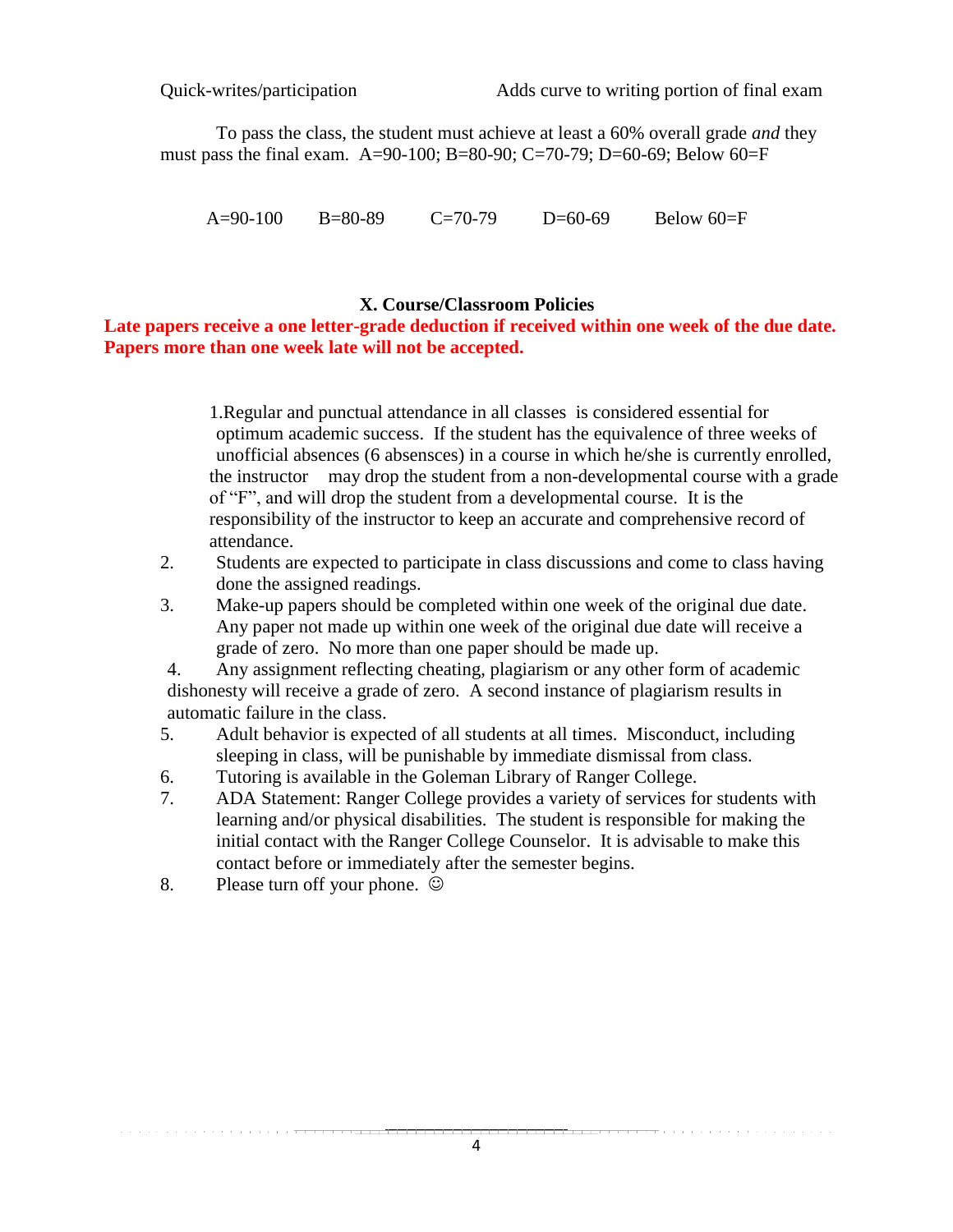To pass the class, the student must achieve at least a 60% overall grade *and* they must pass the final exam. A=90-100; B=80-90; C=70-79; D=60-69; Below 60=F

A=90-100 B=80-89 C=70-79 D=60-69 Below 60=F

## **X. Course/Classroom Policies**

**Late papers receive a one letter-grade deduction if received within one week of the due date. Papers more than one week late will not be accepted.**

> 1.Regular and punctual attendance in all classes is considered essential for optimum academic success. If the student has the equivalence of three weeks of unofficial absences (6 absensces) in a course in which he/she is currently enrolled, the instructor may drop the student from a non-developmental course with a grade of "F", and will drop the student from a developmental course. It is the responsibility of the instructor to keep an accurate and comprehensive record of attendance.

- 2. Students are expected to participate in class discussions and come to class having done the assigned readings.
- 3. Make-up papers should be completed within one week of the original due date. Any paper not made up within one week of the original due date will receive a grade of zero. No more than one paper should be made up.

4. Any assignment reflecting cheating, plagiarism or any other form of academic dishonesty will receive a grade of zero. A second instance of plagiarism results in automatic failure in the class.

- 5. Adult behavior is expected of all students at all times. Misconduct, including sleeping in class, will be punishable by immediate dismissal from class.
- 6. Tutoring is available in the Goleman Library of Ranger College.
- 7. ADA Statement: Ranger College provides a variety of services for students with learning and/or physical disabilities. The student is responsible for making the initial contact with the Ranger College Counselor. It is advisable to make this contact before or immediately after the semester begins.
- 8. Please turn off your phone.  $\odot$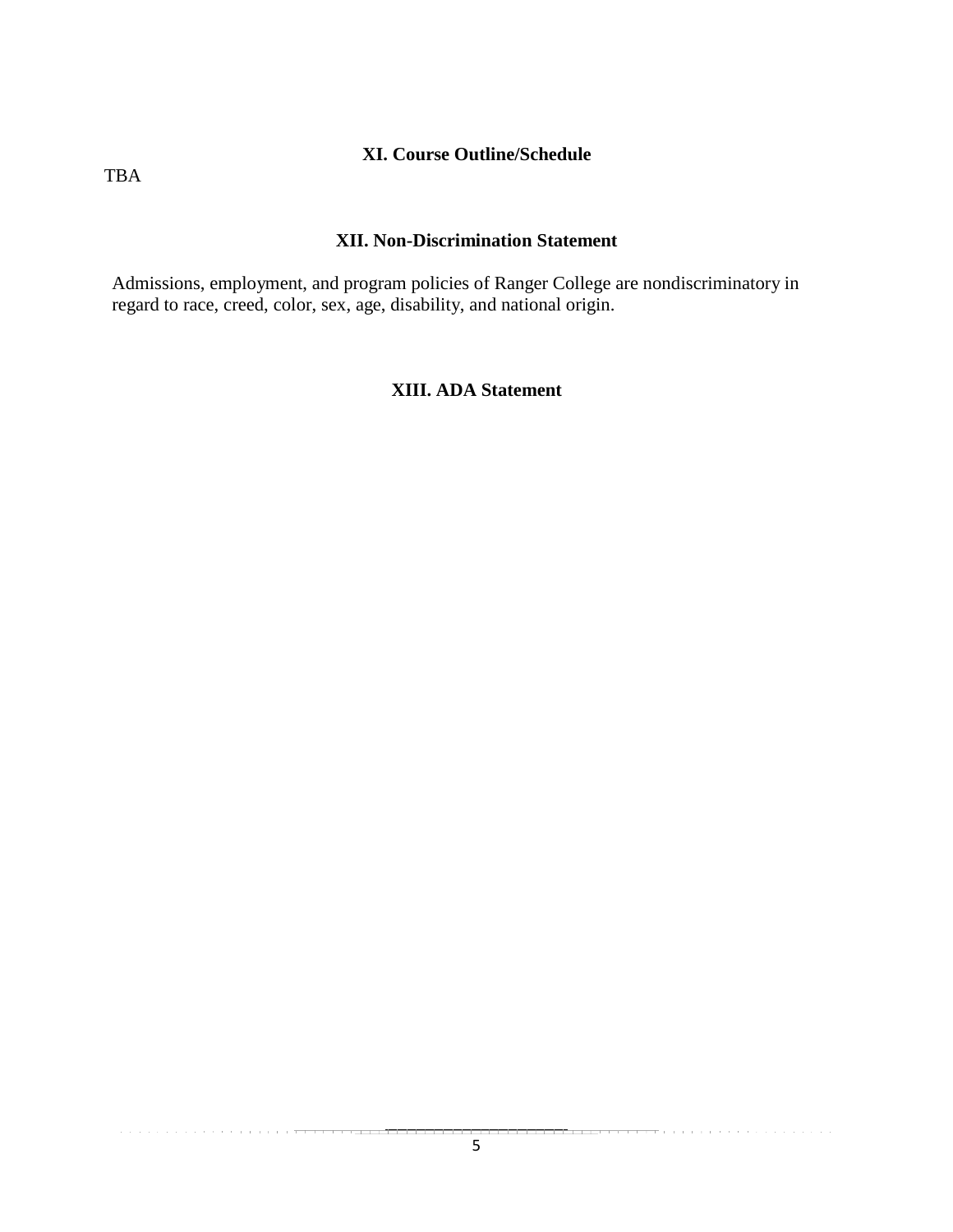### **XI. Course Outline/Schedule**

TBA

## **XII. Non-Discrimination Statement**

Admissions, employment, and program policies of Ranger College are nondiscriminatory in regard to race, creed, color, sex, age, disability, and national origin.

# **XIII. ADA Statement**

 $-$ 

and a series of the contract of